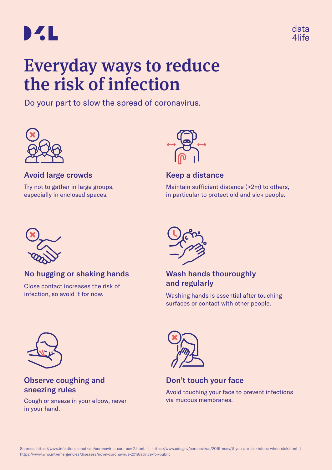



# Everyday ways to reduce the risk of infection

Do your part to slow the spread of coronavirus.



# Avoid large crowds

Try not to gather in large groups, especially in enclosed spaces.



## Keep a distance

Maintain sufficient distance (>2m) to others, in particular to protect old and sick people.



# No hugging or shaking hands

Close contact increases the risk of infection, so avoid it for now.



# Wash hands thouroughly and regularly

Washing hands is essential after touching surfaces or contact with other people.



# Observe coughing and sneezing rules

Cough or sneeze in your elbow, never in your hand.



Don't touch your face

Avoid touching your face to prevent infections via mucous membranes.